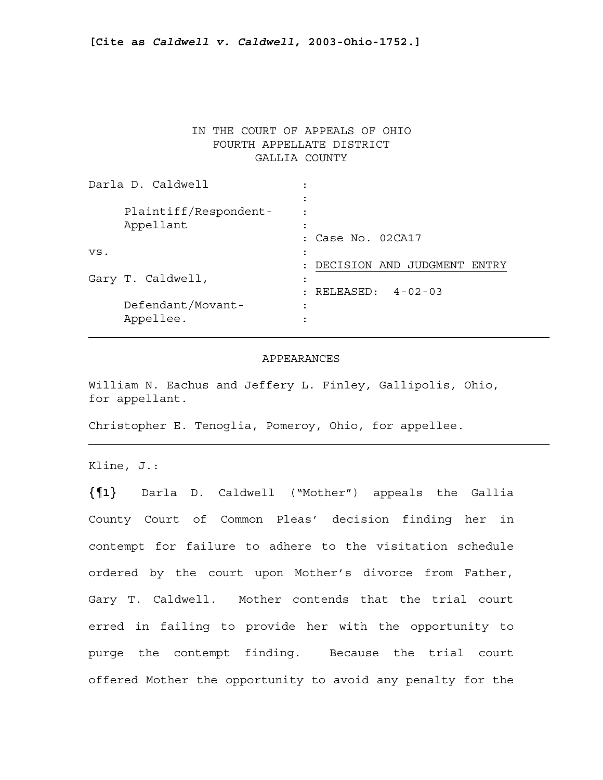# IN THE COURT OF APPEALS OF OHIO FOURTH APPELLATE DISTRICT GALLIA COUNTY

| Darla D. Caldwell |                                    | ٠                    |                                |
|-------------------|------------------------------------|----------------------|--------------------------------|
|                   | Plaintiff/Respondent-<br>Appellant | ٠                    |                                |
|                   |                                    |                      | : Case No. 02CA17              |
| VS.               |                                    | ٠                    |                                |
|                   |                                    | $\ddot{\phantom{a}}$ | DECISION AND JUDGMENT<br>ENTRY |
|                   | Gary T. Caldwell,                  | ٠<br>٠               |                                |
|                   |                                    | ٠                    | $RELEASED: 4-02-03$            |
|                   | Defendant/Movant-                  | ٠                    |                                |
|                   | Appellee.                          | ٠                    |                                |

### APPEARANCES

William N. Eachus and Jeffery L. Finley, Gallipolis, Ohio, for appellant.

Christopher E. Tenoglia, Pomeroy, Ohio, for appellee.

Kline, J.:

**{¶1}** Darla D. Caldwell ("Mother") appeals the Gallia County Court of Common Pleas' decision finding her in contempt for failure to adhere to the visitation schedule ordered by the court upon Mother's divorce from Father, Gary T. Caldwell. Mother contends that the trial court erred in failing to provide her with the opportunity to purge the contempt finding. Because the trial court offered Mother the opportunity to avoid any penalty for the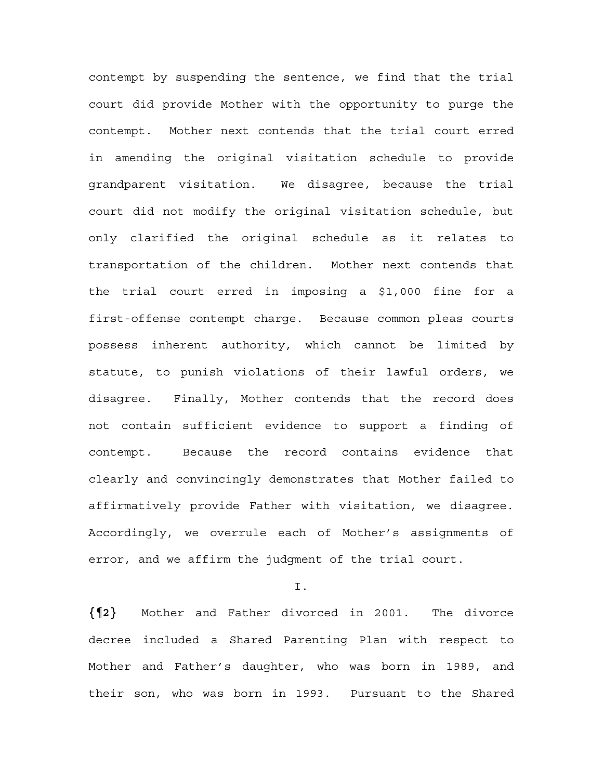contempt by suspending the sentence, we find that the trial court did provide Mother with the opportunity to purge the contempt. Mother next contends that the trial court erred in amending the original visitation schedule to provide grandparent visitation. We disagree, because the trial court did not modify the original visitation schedule, but only clarified the original schedule as it relates to transportation of the children. Mother next contends that the trial court erred in imposing a \$1,000 fine for a first-offense contempt charge. Because common pleas courts possess inherent authority, which cannot be limited by statute, to punish violations of their lawful orders, we disagree. Finally, Mother contends that the record does not contain sufficient evidence to support a finding of contempt. Because the record contains evidence that clearly and convincingly demonstrates that Mother failed to affirmatively provide Father with visitation, we disagree. Accordingly, we overrule each of Mother's assignments of error, and we affirm the judgment of the trial court.

I.

**{¶2}** Mother and Father divorced in 2001. The divorce decree included a Shared Parenting Plan with respect to Mother and Father's daughter, who was born in 1989, and their son, who was born in 1993. Pursuant to the Shared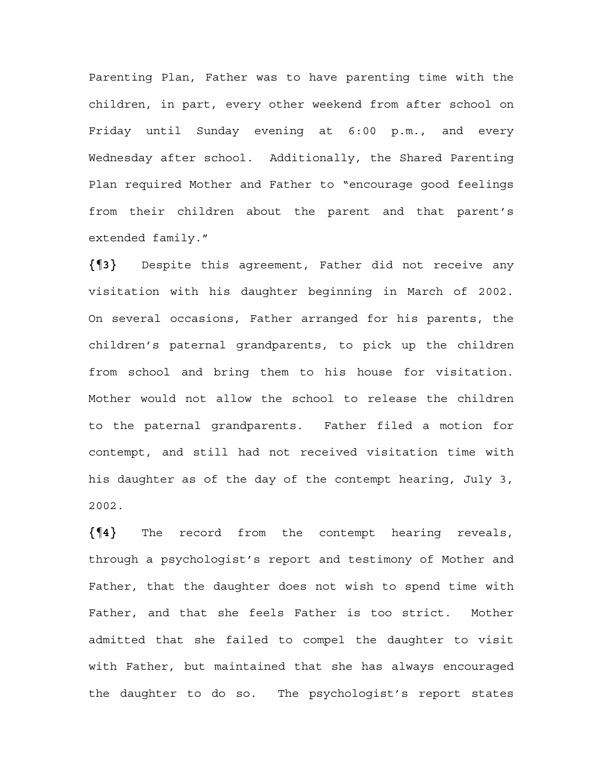Parenting Plan, Father was to have parenting time with the children, in part, every other weekend from after school on Friday until Sunday evening at 6:00 p.m., and every Wednesday after school. Additionally, the Shared Parenting Plan required Mother and Father to "encourage good feelings from their children about the parent and that parent's extended family."

**{¶3}** Despite this agreement, Father did not receive any visitation with his daughter beginning in March of 2002. On several occasions, Father arranged for his parents, the children's paternal grandparents, to pick up the children from school and bring them to his house for visitation. Mother would not allow the school to release the children to the paternal grandparents. Father filed a motion for contempt, and still had not received visitation time with his daughter as of the day of the contempt hearing, July 3, 2002.

**{¶4}** The record from the contempt hearing reveals, through a psychologist's report and testimony of Mother and Father, that the daughter does not wish to spend time with Father, and that she feels Father is too strict. Mother admitted that she failed to compel the daughter to visit with Father, but maintained that she has always encouraged the daughter to do so. The psychologist's report states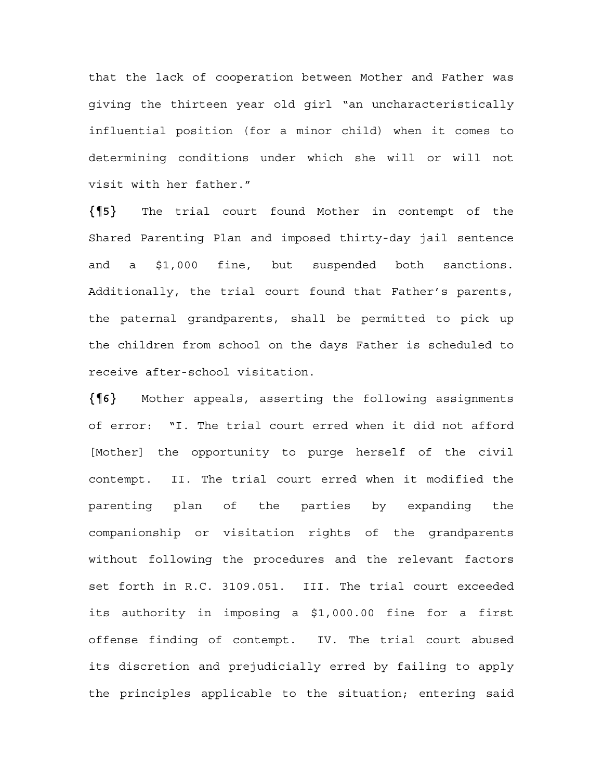that the lack of cooperation between Mother and Father was giving the thirteen year old girl "an uncharacteristically influential position (for a minor child) when it comes to determining conditions under which she will or will not visit with her father."

**{¶5}** The trial court found Mother in contempt of the Shared Parenting Plan and imposed thirty-day jail sentence and a \$1,000 fine, but suspended both sanctions. Additionally, the trial court found that Father's parents, the paternal grandparents, shall be permitted to pick up the children from school on the days Father is scheduled to receive after-school visitation.

**{¶6}** Mother appeals, asserting the following assignments of error: "I. The trial court erred when it did not afford [Mother] the opportunity to purge herself of the civil contempt. II. The trial court erred when it modified the parenting plan of the parties by expanding the companionship or visitation rights of the grandparents without following the procedures and the relevant factors set forth in R.C. 3109.051. III. The trial court exceeded its authority in imposing a \$1,000.00 fine for a first offense finding of contempt. IV. The trial court abused its discretion and prejudicially erred by failing to apply the principles applicable to the situation; entering said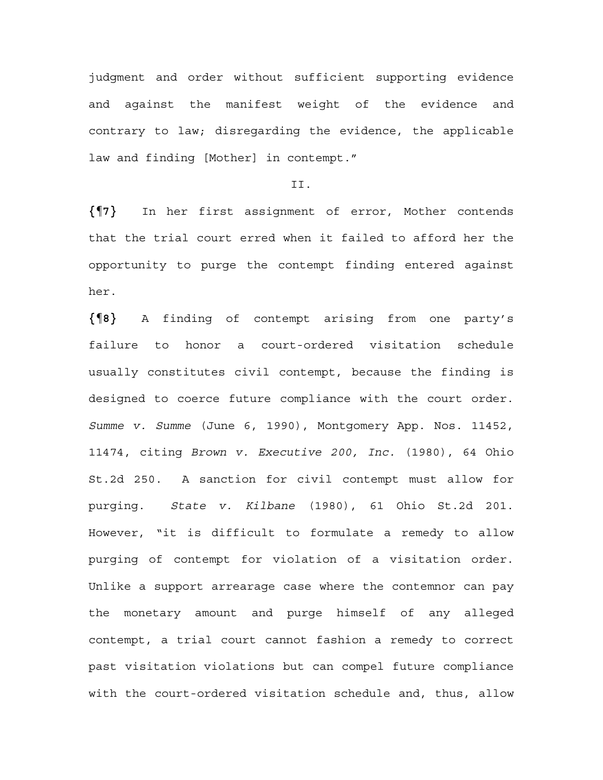judgment and order without sufficient supporting evidence and against the manifest weight of the evidence and contrary to law; disregarding the evidence, the applicable law and finding [Mother] in contempt."

# II.

**{¶7}** In her first assignment of error, Mother contends that the trial court erred when it failed to afford her the opportunity to purge the contempt finding entered against her.

**{¶8}** A finding of contempt arising from one party's failure to honor a court-ordered visitation schedule usually constitutes civil contempt, because the finding is designed to coerce future compliance with the court order. *Summe v. Summe* (June 6, 1990), Montgomery App. Nos. 11452, 11474, citing *Brown v. Executive 200, Inc.* (1980), 64 Ohio St.2d 250. A sanction for civil contempt must allow for purging. *State v. Kilbane* (1980), 61 Ohio St.2d 201. However, "it is difficult to formulate a remedy to allow purging of contempt for violation of a visitation order. Unlike a support arrearage case where the contemnor can pay the monetary amount and purge himself of any alleged contempt, a trial court cannot fashion a remedy to correct past visitation violations but can compel future compliance with the court-ordered visitation schedule and, thus, allow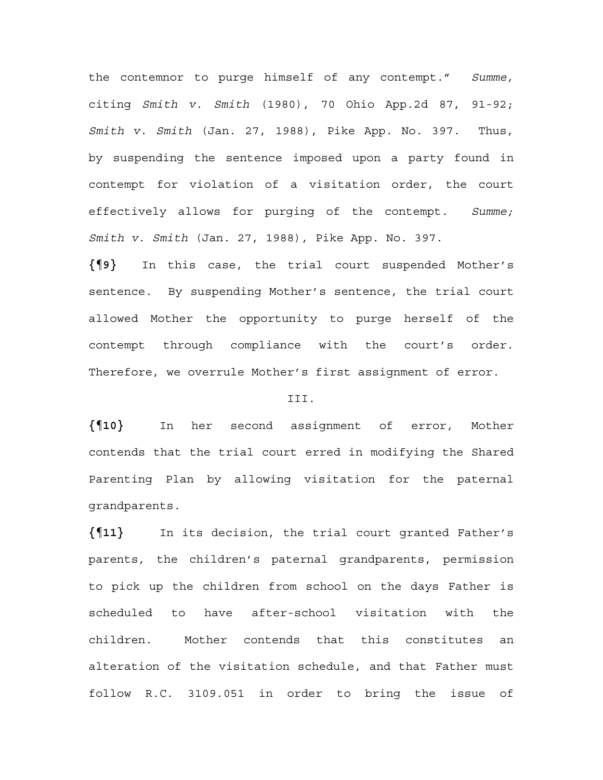the contemnor to purge himself of any contempt." *Summe,*  citing *Smith v. Smith* (1980), 70 Ohio App.2d 87, 91-92; *Smith v. Smith* (Jan. 27, 1988), Pike App. No. 397. Thus, by suspending the sentence imposed upon a party found in contempt for violation of a visitation order, the court effectively allows for purging of the contempt. *Summe; Smith v. Smith* (Jan. 27, 1988), Pike App. No. 397.

**{¶9}** In this case, the trial court suspended Mother's sentence. By suspending Mother's sentence, the trial court allowed Mother the opportunity to purge herself of the contempt through compliance with the court's order. Therefore, we overrule Mother's first assignment of error.

#### III.

**{¶10}** In her second assignment of error, Mother contends that the trial court erred in modifying the Shared Parenting Plan by allowing visitation for the paternal grandparents.

**{¶11}** In its decision, the trial court granted Father's parents, the children's paternal grandparents, permission to pick up the children from school on the days Father is scheduled to have after-school visitation with the children. Mother contends that this constitutes an alteration of the visitation schedule, and that Father must follow R.C. 3109.051 in order to bring the issue of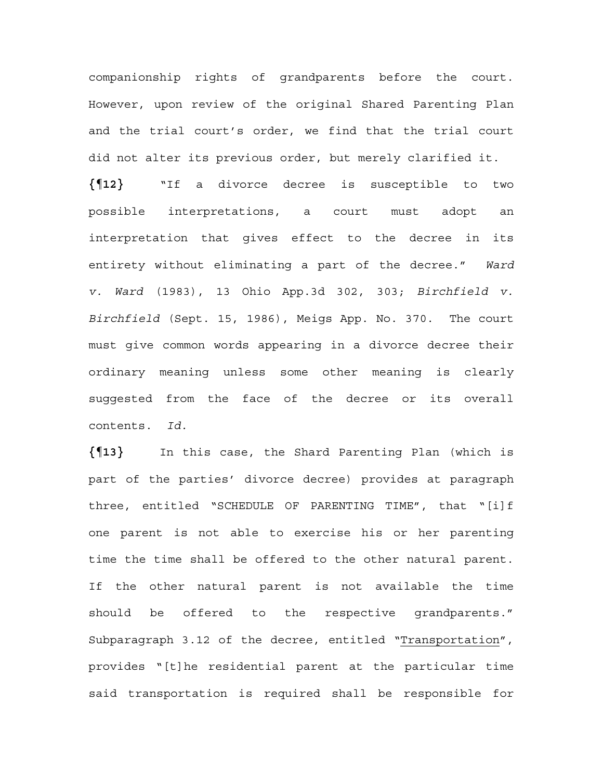companionship rights of grandparents before the court. However, upon review of the original Shared Parenting Plan and the trial court's order, we find that the trial court did not alter its previous order, but merely clarified it.

**{¶12}** "If a divorce decree is susceptible to two possible interpretations, a court must adopt an interpretation that gives effect to the decree in its entirety without eliminating a part of the decree." *Ward v. Ward* (1983), 13 Ohio App.3d 302, 303; *Birchfield v. Birchfield* (Sept. 15, 1986), Meigs App. No. 370. The court must give common words appearing in a divorce decree their ordinary meaning unless some other meaning is clearly suggested from the face of the decree or its overall contents. *Id.* 

**{¶13}** In this case, the Shard Parenting Plan (which is part of the parties' divorce decree) provides at paragraph three, entitled "SCHEDULE OF PARENTING TIME", that "[i]f one parent is not able to exercise his or her parenting time the time shall be offered to the other natural parent. If the other natural parent is not available the time should be offered to the respective grandparents." Subparagraph 3.12 of the decree, entitled "Transportation", provides "[t]he residential parent at the particular time said transportation is required shall be responsible for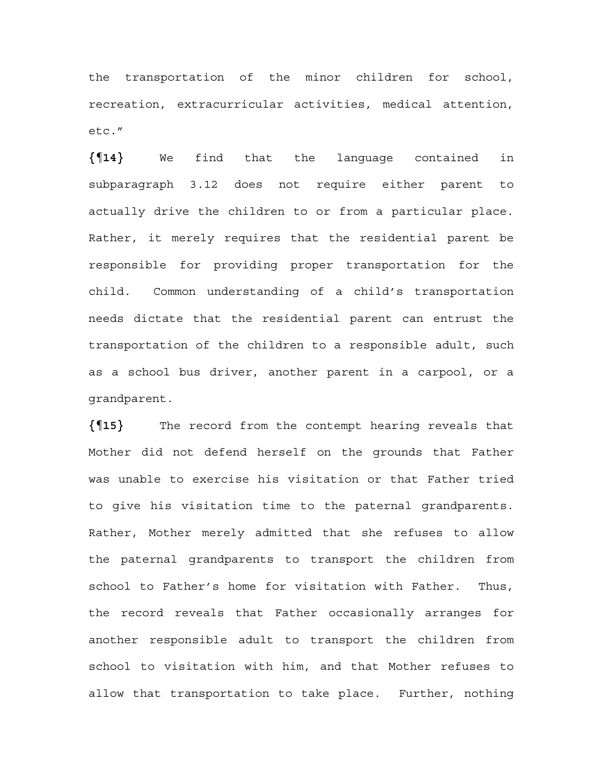the transportation of the minor children for school, recreation, extracurricular activities, medical attention, etc."

**{¶14}** We find that the language contained in subparagraph 3.12 does not require either parent to actually drive the children to or from a particular place. Rather, it merely requires that the residential parent be responsible for providing proper transportation for the child. Common understanding of a child's transportation needs dictate that the residential parent can entrust the transportation of the children to a responsible adult, such as a school bus driver, another parent in a carpool, or a grandparent.

**{¶15}** The record from the contempt hearing reveals that Mother did not defend herself on the grounds that Father was unable to exercise his visitation or that Father tried to give his visitation time to the paternal grandparents. Rather, Mother merely admitted that she refuses to allow the paternal grandparents to transport the children from school to Father's home for visitation with Father. Thus, the record reveals that Father occasionally arranges for another responsible adult to transport the children from school to visitation with him, and that Mother refuses to allow that transportation to take place. Further, nothing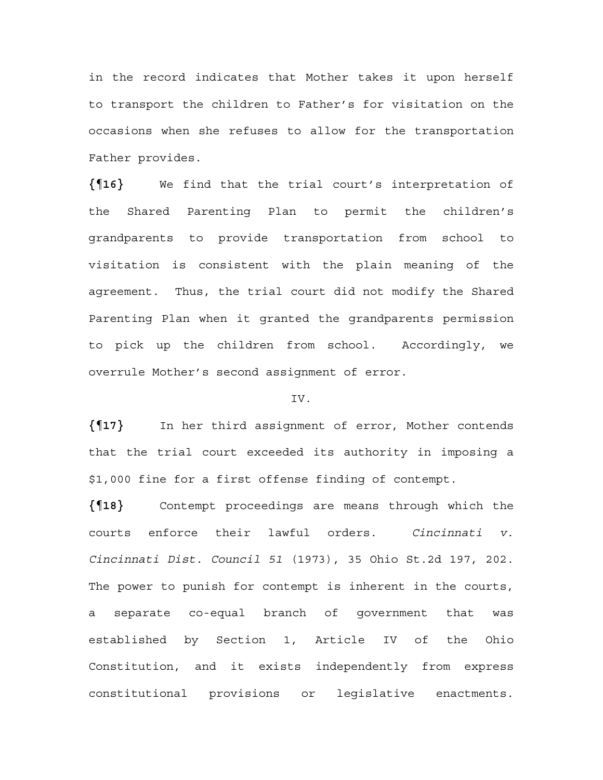in the record indicates that Mother takes it upon herself to transport the children to Father's for visitation on the occasions when she refuses to allow for the transportation Father provides.

**{¶16}** We find that the trial court's interpretation of the Shared Parenting Plan to permit the children's grandparents to provide transportation from school to visitation is consistent with the plain meaning of the agreement. Thus, the trial court did not modify the Shared Parenting Plan when it granted the grandparents permission to pick up the children from school. Accordingly, we overrule Mother's second assignment of error.

### IV.

**{¶17}** In her third assignment of error, Mother contends that the trial court exceeded its authority in imposing a \$1,000 fine for a first offense finding of contempt.

**{¶18}** Contempt proceedings are means through which the courts enforce their lawful orders. *Cincinnati v. Cincinnati Dist. Council 51* (1973), 35 Ohio St.2d 197, 202. The power to punish for contempt is inherent in the courts, a separate co-equal branch of government that was established by Section 1, Article IV of the Ohio Constitution, and it exists independently from express constitutional provisions or legislative enactments.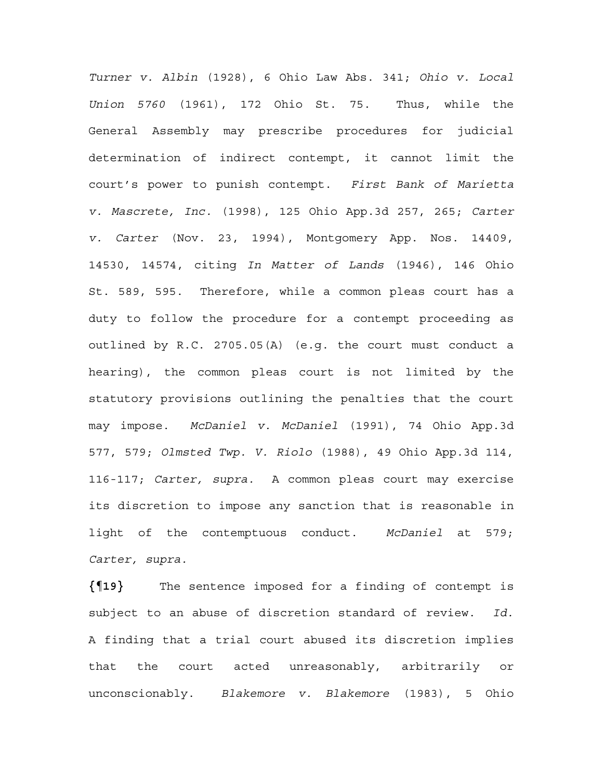*Turner v. Albin* (1928), 6 Ohio Law Abs. 341; *Ohio v. Local Union 5760* (1961), 172 Ohio St. 75. Thus, while the General Assembly may prescribe procedures for judicial determination of indirect contempt, it cannot limit the court's power to punish contempt. *First Bank of Marietta v. Mascrete, Inc.* (1998), 125 Ohio App.3d 257, 265; *Carter v. Carter* (Nov. 23, 1994), Montgomery App. Nos. 14409, 14530, 14574, citing *In Matter of Lands* (1946), 146 Ohio St. 589, 595. Therefore, while a common pleas court has a duty to follow the procedure for a contempt proceeding as outlined by R.C. 2705.05(A) (e.g. the court must conduct a hearing), the common pleas court is not limited by the statutory provisions outlining the penalties that the court may impose. *McDaniel v. McDaniel* (1991), 74 Ohio App.3d 577, 579; *Olmsted Twp. V. Riolo* (1988), 49 Ohio App.3d 114, 116-117; *Carter, supra.* A common pleas court may exercise its discretion to impose any sanction that is reasonable in light of the contemptuous conduct. *McDaniel* at 579; *Carter, supra.* 

**{¶19}** The sentence imposed for a finding of contempt is subject to an abuse of discretion standard of review. *Id.*  A finding that a trial court abused its discretion implies that the court acted unreasonably, arbitrarily or unconscionably. *Blakemore v. Blakemore* (1983), 5 Ohio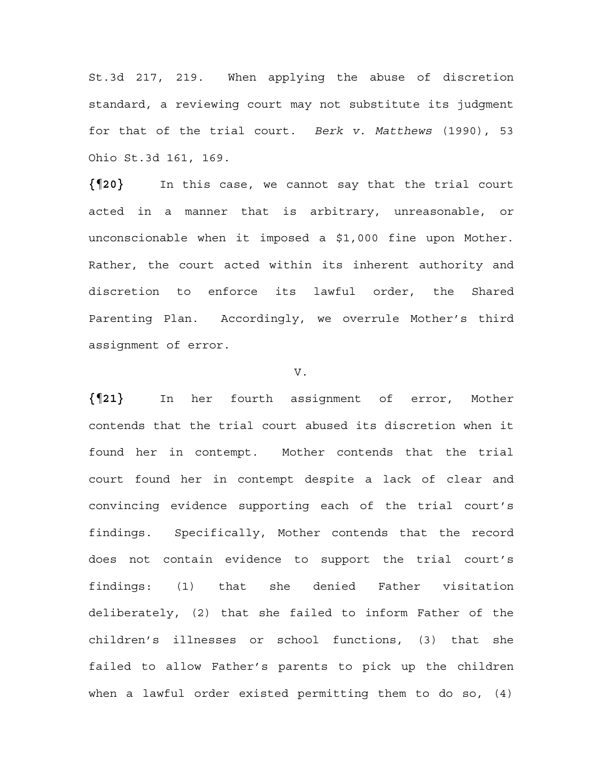St.3d 217, 219. When applying the abuse of discretion standard, a reviewing court may not substitute its judgment for that of the trial court. *Berk v. Matthews* (1990), 53 Ohio St.3d 161, 169.

**{¶20}** In this case, we cannot say that the trial court acted in a manner that is arbitrary, unreasonable, or unconscionable when it imposed a \$1,000 fine upon Mother. Rather, the court acted within its inherent authority and discretion to enforce its lawful order, the Shared Parenting Plan. Accordingly, we overrule Mother's third assignment of error.

### V.

**{¶21}** In her fourth assignment of error, Mother contends that the trial court abused its discretion when it found her in contempt. Mother contends that the trial court found her in contempt despite a lack of clear and convincing evidence supporting each of the trial court's findings. Specifically, Mother contends that the record does not contain evidence to support the trial court's findings: (1) that she denied Father visitation deliberately, (2) that she failed to inform Father of the children's illnesses or school functions, (3) that she failed to allow Father's parents to pick up the children when a lawful order existed permitting them to do so, (4)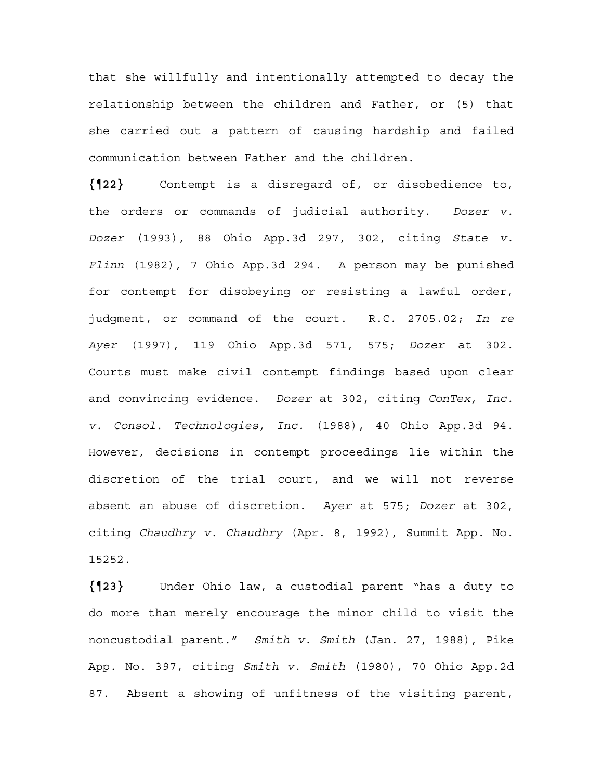that she willfully and intentionally attempted to decay the relationship between the children and Father, or (5) that she carried out a pattern of causing hardship and failed communication between Father and the children.

**{¶22}** Contempt is a disregard of, or disobedience to, the orders or commands of judicial authority. *Dozer v. Dozer* (1993), 88 Ohio App.3d 297, 302, citing *State v. Flinn* (1982), 7 Ohio App.3d 294. A person may be punished for contempt for disobeying or resisting a lawful order, judgment, or command of the court. R.C. 2705.02; *In re Ayer* (1997), 119 Ohio App.3d 571, 575; *Dozer* at 302. Courts must make civil contempt findings based upon clear and convincing evidence. *Dozer* at 302, citing *ConTex, Inc. v. Consol. Technologies, Inc.* (1988), 40 Ohio App.3d 94. However, decisions in contempt proceedings lie within the discretion of the trial court, and we will not reverse absent an abuse of discretion. *Ayer* at 575; *Dozer* at 302, citing *Chaudhry v. Chaudhry* (Apr. 8, 1992), Summit App. No. 15252.

**{¶23}** Under Ohio law, a custodial parent "has a duty to do more than merely encourage the minor child to visit the noncustodial parent." *Smith v. Smith* (Jan. 27, 1988), Pike App. No. 397, citing *Smith v. Smith* (1980), 70 Ohio App.2d 87. Absent a showing of unfitness of the visiting parent,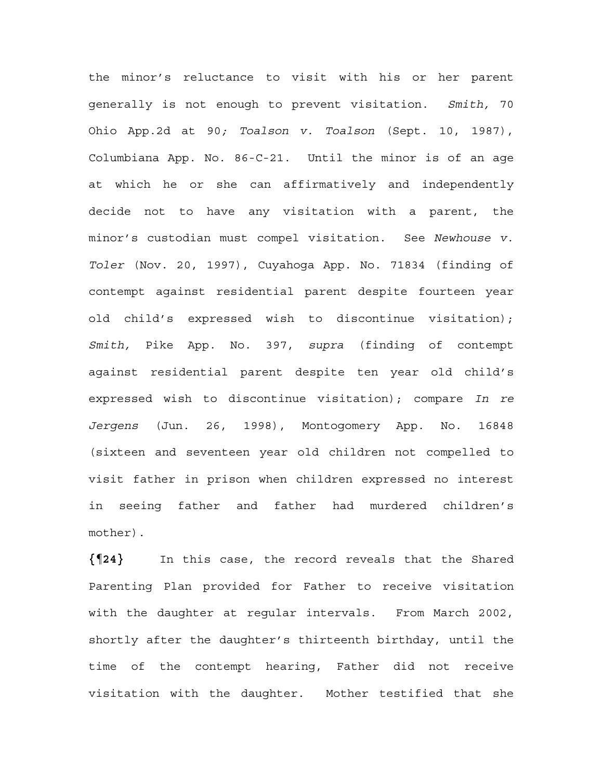the minor's reluctance to visit with his or her parent generally is not enough to prevent visitation. *Smith,* 70 Ohio App.2d at 90*; Toalson v. Toalson* (Sept. 10, 1987), Columbiana App. No. 86-C-21. Until the minor is of an age at which he or she can affirmatively and independently decide not to have any visitation with a parent, the minor's custodian must compel visitation. See *Newhouse v. Toler* (Nov. 20, 1997), Cuyahoga App. No. 71834 (finding of contempt against residential parent despite fourteen year old child's expressed wish to discontinue visitation); *Smith,* Pike App. No. 397, *supra* (finding of contempt against residential parent despite ten year old child's expressed wish to discontinue visitation); compare *In re Jergens* (Jun. 26, 1998), Montogomery App. No. 16848 (sixteen and seventeen year old children not compelled to visit father in prison when children expressed no interest in seeing father and father had murdered children's mother).

**{¶24}** In this case, the record reveals that the Shared Parenting Plan provided for Father to receive visitation with the daughter at regular intervals. From March 2002, shortly after the daughter's thirteenth birthday, until the time of the contempt hearing, Father did not receive visitation with the daughter. Mother testified that she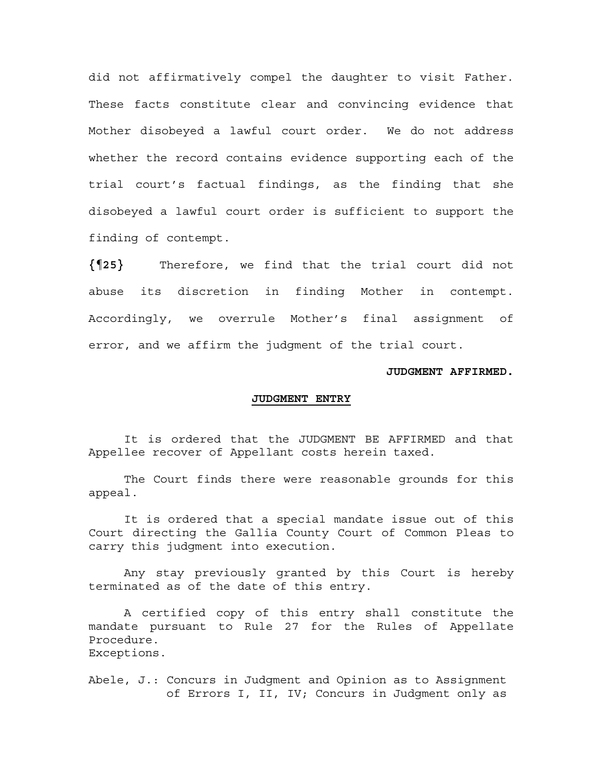did not affirmatively compel the daughter to visit Father. These facts constitute clear and convincing evidence that Mother disobeyed a lawful court order. We do not address whether the record contains evidence supporting each of the trial court's factual findings, as the finding that she disobeyed a lawful court order is sufficient to support the finding of contempt.

**{¶25}** Therefore, we find that the trial court did not abuse its discretion in finding Mother in contempt. Accordingly, we overrule Mother's final assignment of error, and we affirm the judgment of the trial court.

#### **JUDGMENT AFFIRMED.**

#### **JUDGMENT ENTRY**

It is ordered that the JUDGMENT BE AFFIRMED and that Appellee recover of Appellant costs herein taxed.

The Court finds there were reasonable grounds for this appeal.

It is ordered that a special mandate issue out of this Court directing the Gallia County Court of Common Pleas to carry this judgment into execution.

Any stay previously granted by this Court is hereby terminated as of the date of this entry.

A certified copy of this entry shall constitute the mandate pursuant to Rule 27 for the Rules of Appellate Procedure. Exceptions.

Abele, J.: Concurs in Judgment and Opinion as to Assignment of Errors I, II, IV; Concurs in Judgment only as